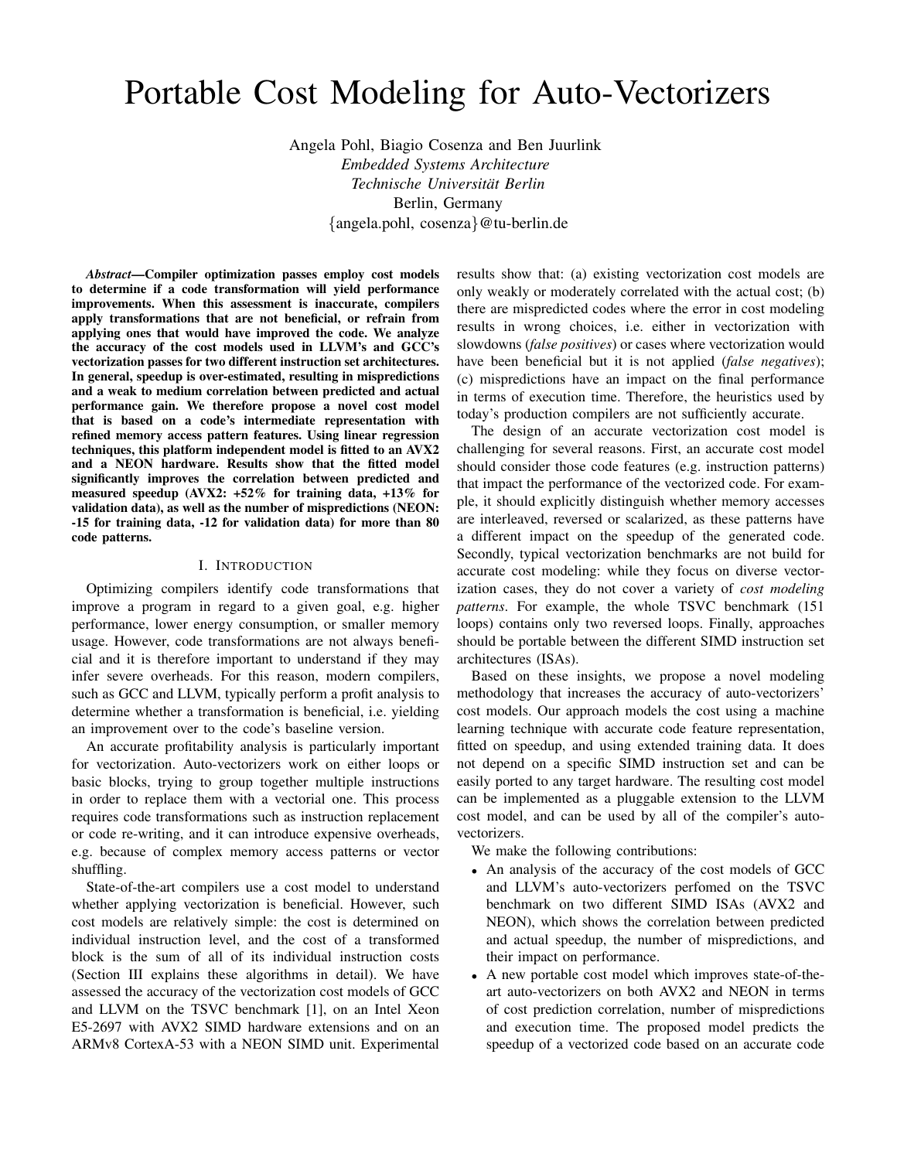# Portable Cost Modeling for Auto-Vectorizers

Angela Pohl, Biagio Cosenza and Ben Juurlink *Embedded Systems Architecture Technische Universitat Berlin ¨* Berlin, Germany {angela.pohl, cosenza}@tu-berlin.de

*Abstract*—Compiler optimization passes employ cost models to determine if a code transformation will yield performance improvements. When this assessment is inaccurate, compilers apply transformations that are not beneficial, or refrain from applying ones that would have improved the code. We analyze the accuracy of the cost models used in LLVM's and GCC's vectorization passes for two different instruction set architectures. In general, speedup is over-estimated, resulting in mispredictions and a weak to medium correlation between predicted and actual performance gain. We therefore propose a novel cost model that is based on a code's intermediate representation with refined memory access pattern features. Using linear regression techniques, this platform independent model is fitted to an AVX2 and a NEON hardware. Results show that the fitted model significantly improves the correlation between predicted and measured speedup (AVX2:  $+52\%$  for training data,  $+13\%$  for validation data), as well as the number of mispredictions (NEON: -15 for training data, -12 for validation data) for more than 80 code patterns.

#### I. INTRODUCTION

Optimizing compilers identify code transformations that improve a program in regard to a given goal, e.g. higher performance, lower energy consumption, or smaller memory usage. However, code transformations are not always beneficial and it is therefore important to understand if they may infer severe overheads. For this reason, modern compilers, such as GCC and LLVM, typically perform a profit analysis to determine whether a transformation is beneficial, i.e. yielding an improvement over to the code's baseline version.

An accurate profitability analysis is particularly important for vectorization. Auto-vectorizers work on either loops or basic blocks, trying to group together multiple instructions in order to replace them with a vectorial one. This process requires code transformations such as instruction replacement or code re-writing, and it can introduce expensive overheads, e.g. because of complex memory access patterns or vector shuffling.

State-of-the-art compilers use a cost model to understand whether applying vectorization is beneficial. However, such cost models are relatively simple: the cost is determined on individual instruction level, and the cost of a transformed block is the sum of all of its individual instruction costs (Section III explains these algorithms in detail). We have assessed the accuracy of the vectorization cost models of GCC and LLVM on the TSVC benchmark [1], on an Intel Xeon E5-2697 with AVX2 SIMD hardware extensions and on an ARMv8 CortexA-53 with a NEON SIMD unit. Experimental results show that: (a) existing vectorization cost models are only weakly or moderately correlated with the actual cost; (b) there are mispredicted codes where the error in cost modeling results in wrong choices, i.e. either in vectorization with slowdowns (*false positives*) or cases where vectorization would have been beneficial but it is not applied (*false negatives*); (c) mispredictions have an impact on the final performance in terms of execution time. Therefore, the heuristics used by today's production compilers are not sufficiently accurate.

The design of an accurate vectorization cost model is challenging for several reasons. First, an accurate cost model should consider those code features (e.g. instruction patterns) that impact the performance of the vectorized code. For example, it should explicitly distinguish whether memory accesses are interleaved, reversed or scalarized, as these patterns have a different impact on the speedup of the generated code. Secondly, typical vectorization benchmarks are not build for accurate cost modeling: while they focus on diverse vectorization cases, they do not cover a variety of *cost modeling patterns*. For example, the whole TSVC benchmark (151 loops) contains only two reversed loops. Finally, approaches should be portable between the different SIMD instruction set architectures (ISAs).

Based on these insights, we propose a novel modeling methodology that increases the accuracy of auto-vectorizers' cost models. Our approach models the cost using a machine learning technique with accurate code feature representation, fitted on speedup, and using extended training data. It does not depend on a specific SIMD instruction set and can be easily ported to any target hardware. The resulting cost model can be implemented as a pluggable extension to the LLVM cost model, and can be used by all of the compiler's autovectorizers.

We make the following contributions:

- An analysis of the accuracy of the cost models of GCC and LLVM's auto-vectorizers perfomed on the TSVC benchmark on two different SIMD ISAs (AVX2 and NEON), which shows the correlation between predicted and actual speedup, the number of mispredictions, and their impact on performance.
- A new portable cost model which improves state-of-theart auto-vectorizers on both AVX2 and NEON in terms of cost prediction correlation, number of mispredictions and execution time. The proposed model predicts the speedup of a vectorized code based on an accurate code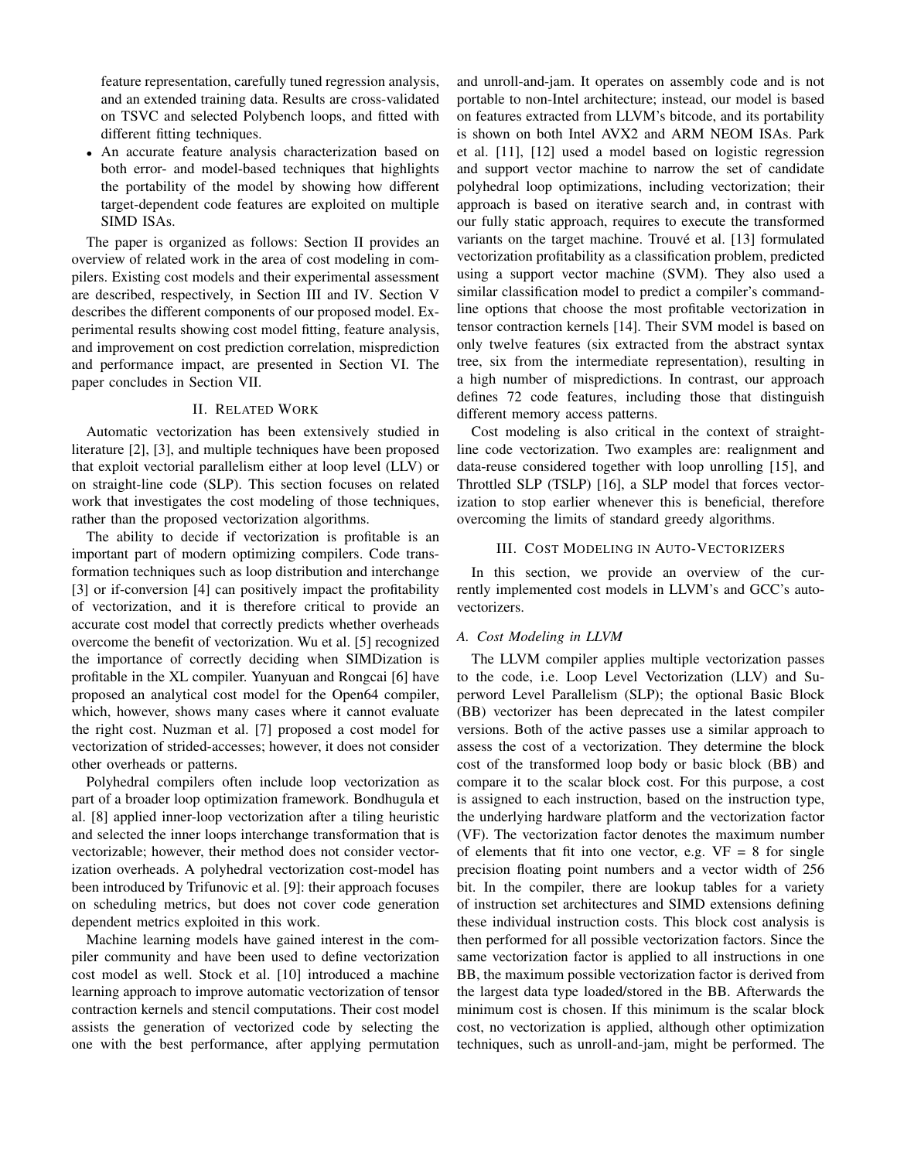feature representation, carefully tuned regression analysis, and an extended training data. Results are cross-validated on TSVC and selected Polybench loops, and fitted with different fitting techniques.

• An accurate feature analysis characterization based on both error- and model-based techniques that highlights the portability of the model by showing how different target-dependent code features are exploited on multiple SIMD ISAs.

The paper is organized as follows: Section II provides an overview of related work in the area of cost modeling in compilers. Existing cost models and their experimental assessment are described, respectively, in Section III and IV. Section V describes the different components of our proposed model. Experimental results showing cost model fitting, feature analysis, and improvement on cost prediction correlation, misprediction and performance impact, are presented in Section VI. The paper concludes in Section VII.

## II. RELATED WORK

Automatic vectorization has been extensively studied in literature [2], [3], and multiple techniques have been proposed that exploit vectorial parallelism either at loop level (LLV) or on straight-line code (SLP). This section focuses on related work that investigates the cost modeling of those techniques, rather than the proposed vectorization algorithms.

The ability to decide if vectorization is profitable is an important part of modern optimizing compilers. Code transformation techniques such as loop distribution and interchange [3] or if-conversion [4] can positively impact the profitability of vectorization, and it is therefore critical to provide an accurate cost model that correctly predicts whether overheads overcome the benefit of vectorization. Wu et al. [5] recognized the importance of correctly deciding when SIMDization is profitable in the XL compiler. Yuanyuan and Rongcai [6] have proposed an analytical cost model for the Open64 compiler, which, however, shows many cases where it cannot evaluate the right cost. Nuzman et al. [7] proposed a cost model for vectorization of strided-accesses; however, it does not consider other overheads or patterns.

Polyhedral compilers often include loop vectorization as part of a broader loop optimization framework. Bondhugula et al. [8] applied inner-loop vectorization after a tiling heuristic and selected the inner loops interchange transformation that is vectorizable; however, their method does not consider vectorization overheads. A polyhedral vectorization cost-model has been introduced by Trifunovic et al. [9]: their approach focuses on scheduling metrics, but does not cover code generation dependent metrics exploited in this work.

Machine learning models have gained interest in the compiler community and have been used to define vectorization cost model as well. Stock et al. [10] introduced a machine learning approach to improve automatic vectorization of tensor contraction kernels and stencil computations. Their cost model assists the generation of vectorized code by selecting the one with the best performance, after applying permutation and unroll-and-jam. It operates on assembly code and is not portable to non-Intel architecture; instead, our model is based on features extracted from LLVM's bitcode, and its portability is shown on both Intel AVX2 and ARM NEOM ISAs. Park et al. [11], [12] used a model based on logistic regression and support vector machine to narrow the set of candidate polyhedral loop optimizations, including vectorization; their approach is based on iterative search and, in contrast with our fully static approach, requires to execute the transformed variants on the target machine. Trouvé et al. [13] formulated vectorization profitability as a classification problem, predicted using a support vector machine (SVM). They also used a similar classification model to predict a compiler's commandline options that choose the most profitable vectorization in tensor contraction kernels [14]. Their SVM model is based on only twelve features (six extracted from the abstract syntax tree, six from the intermediate representation), resulting in a high number of mispredictions. In contrast, our approach defines 72 code features, including those that distinguish different memory access patterns.

Cost modeling is also critical in the context of straightline code vectorization. Two examples are: realignment and data-reuse considered together with loop unrolling [15], and Throttled SLP (TSLP) [16], a SLP model that forces vectorization to stop earlier whenever this is beneficial, therefore overcoming the limits of standard greedy algorithms.

#### III. COST MODELING IN AUTO-VECTORIZERS

In this section, we provide an overview of the currently implemented cost models in LLVM's and GCC's autovectorizers.

## *A. Cost Modeling in LLVM*

The LLVM compiler applies multiple vectorization passes to the code, i.e. Loop Level Vectorization (LLV) and Superword Level Parallelism (SLP); the optional Basic Block (BB) vectorizer has been deprecated in the latest compiler versions. Both of the active passes use a similar approach to assess the cost of a vectorization. They determine the block cost of the transformed loop body or basic block (BB) and compare it to the scalar block cost. For this purpose, a cost is assigned to each instruction, based on the instruction type, the underlying hardware platform and the vectorization factor (VF). The vectorization factor denotes the maximum number of elements that fit into one vector, e.g.  $VF = 8$  for single precision floating point numbers and a vector width of 256 bit. In the compiler, there are lookup tables for a variety of instruction set architectures and SIMD extensions defining these individual instruction costs. This block cost analysis is then performed for all possible vectorization factors. Since the same vectorization factor is applied to all instructions in one BB, the maximum possible vectorization factor is derived from the largest data type loaded/stored in the BB. Afterwards the minimum cost is chosen. If this minimum is the scalar block cost, no vectorization is applied, although other optimization techniques, such as unroll-and-jam, might be performed. The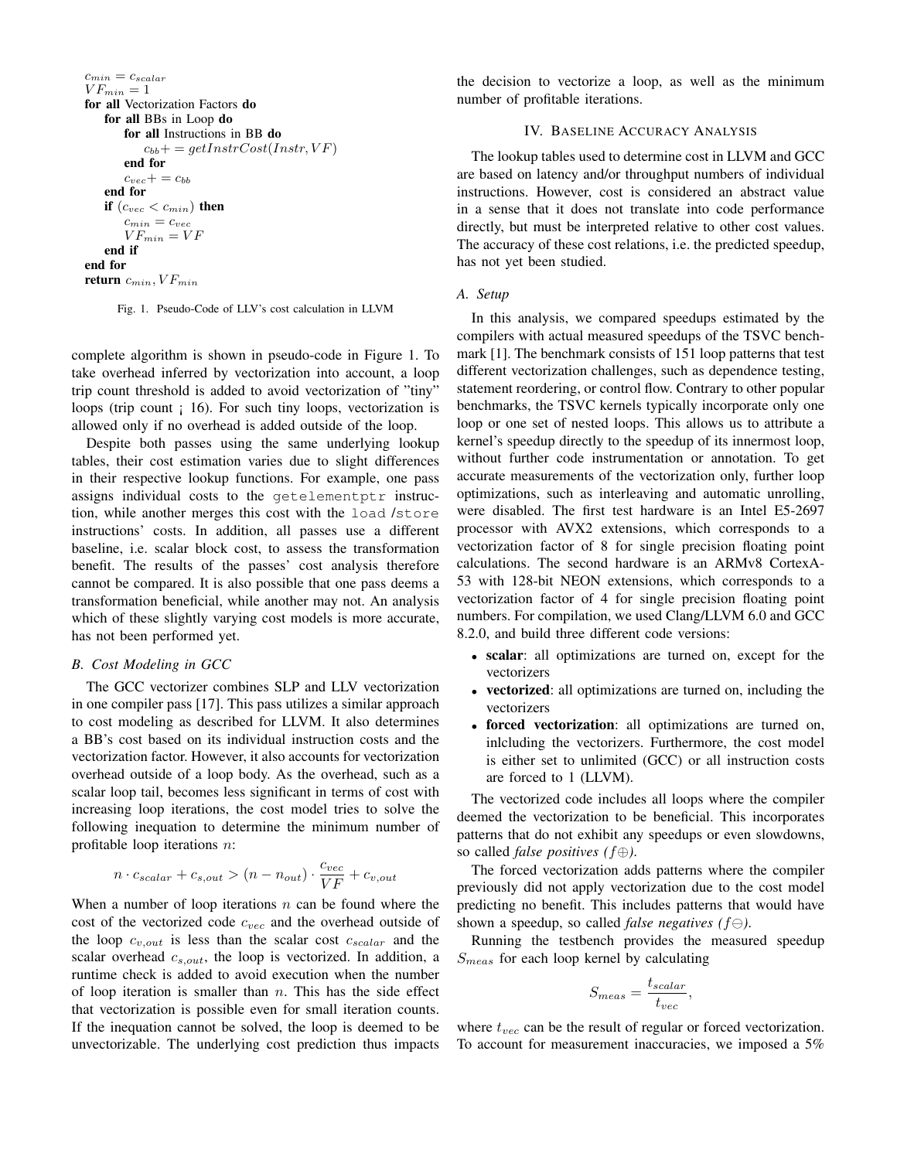```
c_{min} = c_{scalar}VF_{min} = 1for all Vectorization Factors do
   for all BBs in Loop do
       for all Instructions in BB do
           c_{bb}+ = getInstrCost(Instr, VF)
       end for
       c_{vec} + c_{bb}end for
   if (c_{vec} < c_{min}) then
       c_{min} = c_{vec}VF_{min} = VFend if
end for
return c_{min}, VF_{min}
```
Fig. 1. Pseudo-Code of LLV's cost calculation in LLVM

complete algorithm is shown in pseudo-code in Figure 1. To take overhead inferred by vectorization into account, a loop trip count threshold is added to avoid vectorization of "tiny" loops (trip count ; 16). For such tiny loops, vectorization is allowed only if no overhead is added outside of the loop.

Despite both passes using the same underlying lookup tables, their cost estimation varies due to slight differences in their respective lookup functions. For example, one pass assigns individual costs to the getelementptr instruction, while another merges this cost with the load /store instructions' costs. In addition, all passes use a different baseline, i.e. scalar block cost, to assess the transformation benefit. The results of the passes' cost analysis therefore cannot be compared. It is also possible that one pass deems a transformation beneficial, while another may not. An analysis which of these slightly varying cost models is more accurate, has not been performed yet.

## *B. Cost Modeling in GCC*

The GCC vectorizer combines SLP and LLV vectorization in one compiler pass [17]. This pass utilizes a similar approach to cost modeling as described for LLVM. It also determines a BB's cost based on its individual instruction costs and the vectorization factor. However, it also accounts for vectorization overhead outside of a loop body. As the overhead, such as a scalar loop tail, becomes less significant in terms of cost with increasing loop iterations, the cost model tries to solve the following inequation to determine the minimum number of profitable loop iterations n:

$$
n \cdot c_{scalar} + c_{s,out} > (n - n_{out}) \cdot \frac{c_{vec}}{VF} + c_{v,out}
$$

When a number of loop iterations  $n$  can be found where the cost of the vectorized code  $c_{vec}$  and the overhead outside of the loop  $c_{v,out}$  is less than the scalar cost  $c_{scalar}$  and the scalar overhead  $c_{s,out}$ , the loop is vectorized. In addition, a runtime check is added to avoid execution when the number of loop iteration is smaller than  $n$ . This has the side effect that vectorization is possible even for small iteration counts. If the inequation cannot be solved, the loop is deemed to be unvectorizable. The underlying cost prediction thus impacts the decision to vectorize a loop, as well as the minimum number of profitable iterations.

# IV. BASELINE ACCURACY ANALYSIS

The lookup tables used to determine cost in LLVM and GCC are based on latency and/or throughput numbers of individual instructions. However, cost is considered an abstract value in a sense that it does not translate into code performance directly, but must be interpreted relative to other cost values. The accuracy of these cost relations, i.e. the predicted speedup, has not yet been studied.

## *A. Setup*

In this analysis, we compared speedups estimated by the compilers with actual measured speedups of the TSVC benchmark [1]. The benchmark consists of 151 loop patterns that test different vectorization challenges, such as dependence testing, statement reordering, or control flow. Contrary to other popular benchmarks, the TSVC kernels typically incorporate only one loop or one set of nested loops. This allows us to attribute a kernel's speedup directly to the speedup of its innermost loop, without further code instrumentation or annotation. To get accurate measurements of the vectorization only, further loop optimizations, such as interleaving and automatic unrolling, were disabled. The first test hardware is an Intel E5-2697 processor with AVX2 extensions, which corresponds to a vectorization factor of 8 for single precision floating point calculations. The second hardware is an ARMv8 CortexA-53 with 128-bit NEON extensions, which corresponds to a vectorization factor of 4 for single precision floating point numbers. For compilation, we used Clang/LLVM 6.0 and GCC 8.2.0, and build three different code versions:

- scalar: all optimizations are turned on, except for the vectorizers
- vectorized: all optimizations are turned on, including the vectorizers
- forced vectorization: all optimizations are turned on, inlcluding the vectorizers. Furthermore, the cost model is either set to unlimited (GCC) or all instruction costs are forced to 1 (LLVM).

The vectorized code includes all loops where the compiler deemed the vectorization to be beneficial. This incorporates patterns that do not exhibit any speedups or even slowdowns, so called *false positives (*f⊕*)*.

The forced vectorization adds patterns where the compiler previously did not apply vectorization due to the cost model predicting no benefit. This includes patterns that would have shown a speedup, so called *false negatives* ( $f \ominus$ ).

Running the testbench provides the measured speedup  $S_{meas}$  for each loop kernel by calculating

$$
S_{meas} = \frac{t_{scalar}}{t_{vec}},
$$

where  $t_{vec}$  can be the result of regular or forced vectorization. To account for measurement inaccuracies, we imposed a 5%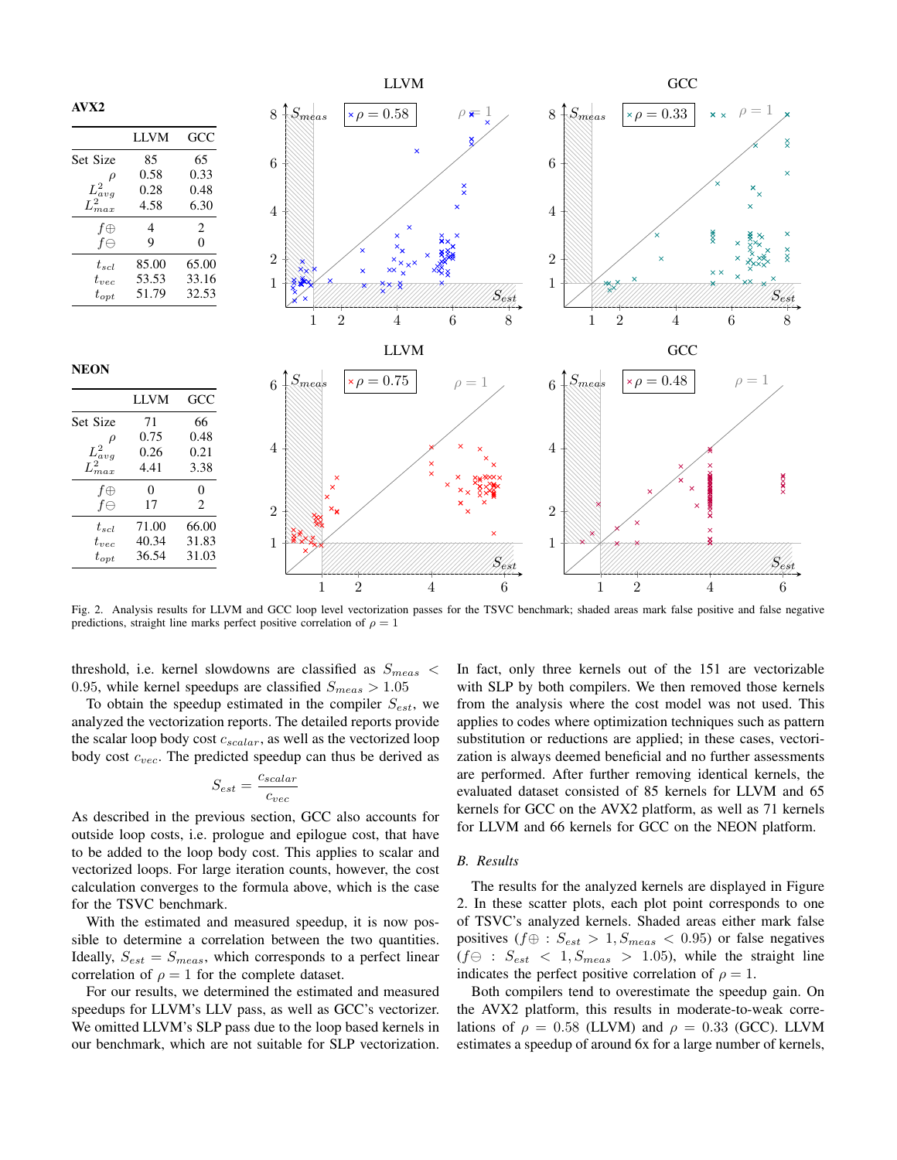

Fig. 2. Analysis results for LLVM and GCC loop level vectorization passes for the TSVC benchmark; shaded areas mark false positive and false negative predictions, straight line marks perfect positive correlation of  $\rho = 1$ 

threshold, i.e. kernel slowdowns are classified as  $S_{meas}$  < 0.95, while kernel speedups are classified  $S_{meas} > 1.05$ 

To obtain the speedup estimated in the compiler  $S_{est}$ , we analyzed the vectorization reports. The detailed reports provide the scalar loop body cost  $c_{scalar}$ , as well as the vectorized loop body cost  $c_{vec}$ . The predicted speedup can thus be derived as

$$
S_{est} = \frac{c_{scalar}}{c_{vec}}
$$

As described in the previous section, GCC also accounts for outside loop costs, i.e. prologue and epilogue cost, that have to be added to the loop body cost. This applies to scalar and vectorized loops. For large iteration counts, however, the cost calculation converges to the formula above, which is the case for the TSVC benchmark.

With the estimated and measured speedup, it is now possible to determine a correlation between the two quantities. Ideally,  $S_{est} = S_{meas}$ , which corresponds to a perfect linear correlation of  $\rho = 1$  for the complete dataset.

For our results, we determined the estimated and measured speedups for LLVM's LLV pass, as well as GCC's vectorizer. We omitted LLVM's SLP pass due to the loop based kernels in our benchmark, which are not suitable for SLP vectorization.

In fact, only three kernels out of the 151 are vectorizable with SLP by both compilers. We then removed those kernels from the analysis where the cost model was not used. This applies to codes where optimization techniques such as pattern substitution or reductions are applied; in these cases, vectorization is always deemed beneficial and no further assessments are performed. After further removing identical kernels, the evaluated dataset consisted of 85 kernels for LLVM and 65 kernels for GCC on the AVX2 platform, as well as 71 kernels for LLVM and 66 kernels for GCC on the NEON platform.

#### *B. Results*

The results for the analyzed kernels are displayed in Figure 2. In these scatter plots, each plot point corresponds to one of TSVC's analyzed kernels. Shaded areas either mark false positives ( $f \oplus : S_{est} > 1, S_{meas} < 0.95$ ) or false negatives  $(f \ominus : S_{est} < 1, S_{meas} > 1.05)$ , while the straight line indicates the perfect positive correlation of  $\rho = 1$ .

Both compilers tend to overestimate the speedup gain. On the AVX2 platform, this results in moderate-to-weak correlations of  $\rho = 0.58$  (LLVM) and  $\rho = 0.33$  (GCC). LLVM estimates a speedup of around 6x for a large number of kernels,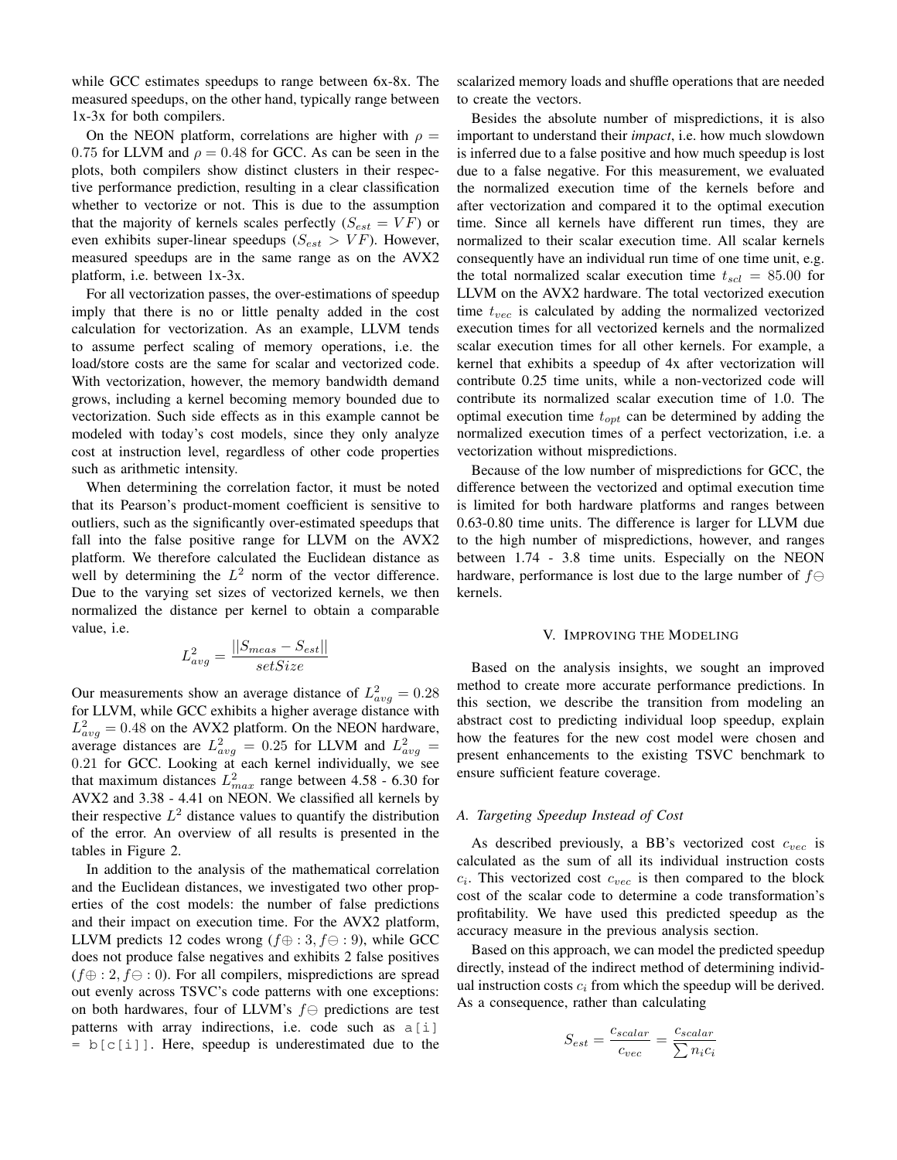while GCC estimates speedups to range between 6x-8x. The measured speedups, on the other hand, typically range between 1x-3x for both compilers.

On the NEON platform, correlations are higher with  $\rho =$ 0.75 for LLVM and  $\rho = 0.48$  for GCC. As can be seen in the plots, both compilers show distinct clusters in their respective performance prediction, resulting in a clear classification whether to vectorize or not. This is due to the assumption that the majority of kernels scales perfectly  $(S_{est} = VF)$  or even exhibits super-linear speedups ( $S_{est} > VF$ ). However, measured speedups are in the same range as on the AVX2 platform, i.e. between 1x-3x.

For all vectorization passes, the over-estimations of speedup imply that there is no or little penalty added in the cost calculation for vectorization. As an example, LLVM tends to assume perfect scaling of memory operations, i.e. the load/store costs are the same for scalar and vectorized code. With vectorization, however, the memory bandwidth demand grows, including a kernel becoming memory bounded due to vectorization. Such side effects as in this example cannot be modeled with today's cost models, since they only analyze cost at instruction level, regardless of other code properties such as arithmetic intensity.

When determining the correlation factor, it must be noted that its Pearson's product-moment coefficient is sensitive to outliers, such as the significantly over-estimated speedups that fall into the false positive range for LLVM on the AVX2 platform. We therefore calculated the Euclidean distance as well by determining the  $L^2$  norm of the vector difference. Due to the varying set sizes of vectorized kernels, we then normalized the distance per kernel to obtain a comparable value, i.e.

$$
L_{avg}^2 = \frac{||S_{meas} - S_{est}||}{setSize}
$$

Our measurements show an average distance of  $L<sup>2</sup><sub>avg</sub> = 0.28$ for LLVM, while GCC exhibits a higher average distance with  $L_{avg}^2 = 0.48$  on the AVX2 platform. On the NEON hardware, average distances are  $L_{avg}^2 = 0.25$  for LLVM and  $L_{avg}^2 =$ 0.21 for GCC. Looking at each kernel individually, we see that maximum distances  $L_{max}^2$  range between 4.58 - 6.30 for AVX2 and 3.38 - 4.41 on NEON. We classified all kernels by their respective  $L^2$  distance values to quantify the distribution of the error. An overview of all results is presented in the tables in Figure 2.

In addition to the analysis of the mathematical correlation and the Euclidean distances, we investigated two other properties of the cost models: the number of false predictions and their impact on execution time. For the AVX2 platform, LLVM predicts 12 codes wrong ( $f \oplus : 3, f \ominus : 9$ ), while GCC does not produce false negatives and exhibits 2 false positives  $(f \oplus : 2, f \ominus : 0)$ . For all compilers, mispredictions are spread out evenly across TSVC's code patterns with one exceptions: on both hardwares, four of LLVM's  $f \ominus$  predictions are test patterns with array indirections, i.e. code such as a[i]  $= b[c[i]]$ . Here, speedup is underestimated due to the

scalarized memory loads and shuffle operations that are needed to create the vectors.

Besides the absolute number of mispredictions, it is also important to understand their *impact*, i.e. how much slowdown is inferred due to a false positive and how much speedup is lost due to a false negative. For this measurement, we evaluated the normalized execution time of the kernels before and after vectorization and compared it to the optimal execution time. Since all kernels have different run times, they are normalized to their scalar execution time. All scalar kernels consequently have an individual run time of one time unit, e.g. the total normalized scalar execution time  $t_{scl} = 85.00$  for LLVM on the AVX2 hardware. The total vectorized execution time  $t_{vec}$  is calculated by adding the normalized vectorized execution times for all vectorized kernels and the normalized scalar execution times for all other kernels. For example, a kernel that exhibits a speedup of 4x after vectorization will contribute 0.25 time units, while a non-vectorized code will contribute its normalized scalar execution time of 1.0. The optimal execution time  $t_{opt}$  can be determined by adding the normalized execution times of a perfect vectorization, i.e. a vectorization without mispredictions.

Because of the low number of mispredictions for GCC, the difference between the vectorized and optimal execution time is limited for both hardware platforms and ranges between 0.63-0.80 time units. The difference is larger for LLVM due to the high number of mispredictions, however, and ranges between 1.74 - 3.8 time units. Especially on the NEON hardware, performance is lost due to the large number of  $f \ominus$ kernels.

#### V. IMPROVING THE MODELING

Based on the analysis insights, we sought an improved method to create more accurate performance predictions. In this section, we describe the transition from modeling an abstract cost to predicting individual loop speedup, explain how the features for the new cost model were chosen and present enhancements to the existing TSVC benchmark to ensure sufficient feature coverage.

#### *A. Targeting Speedup Instead of Cost*

As described previously, a BB's vectorized cost  $c_{vec}$  is calculated as the sum of all its individual instruction costs  $c_i$ . This vectorized cost  $c_{vec}$  is then compared to the block cost of the scalar code to determine a code transformation's profitability. We have used this predicted speedup as the accuracy measure in the previous analysis section.

Based on this approach, we can model the predicted speedup directly, instead of the indirect method of determining individual instruction costs  $c_i$  from which the speedup will be derived. As a consequence, rather than calculating

$$
S_{est} = \frac{c_{scalar}}{c_{vec}} = \frac{c_{scalar}}{\sum n_i c_i}
$$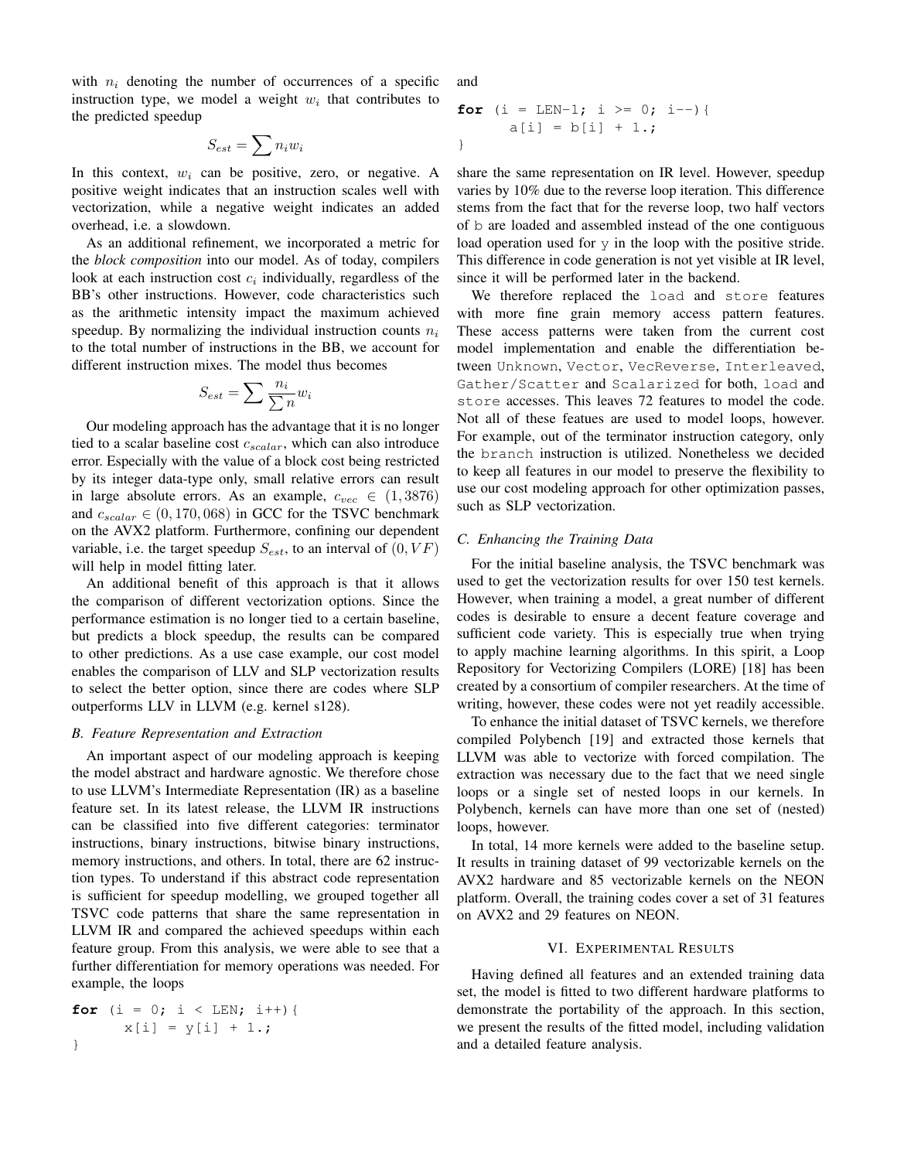with  $n_i$  denoting the number of occurrences of a specific instruction type, we model a weight  $w_i$  that contributes to the predicted speedup

$$
S_{est} = \sum n_i w_i
$$

In this context,  $w_i$  can be positive, zero, or negative. A positive weight indicates that an instruction scales well with vectorization, while a negative weight indicates an added overhead, i.e. a slowdown.

As an additional refinement, we incorporated a metric for the *block composition* into our model. As of today, compilers look at each instruction cost  $c_i$  individually, regardless of the BB's other instructions. However, code characteristics such as the arithmetic intensity impact the maximum achieved speedup. By normalizing the individual instruction counts  $n_i$ to the total number of instructions in the BB, we account for different instruction mixes. The model thus becomes

$$
S_{est} = \sum \frac{n_i}{\sum n} w_i
$$

Our modeling approach has the advantage that it is no longer tied to a scalar baseline cost  $c_{scalar}$ , which can also introduce error. Especially with the value of a block cost being restricted by its integer data-type only, small relative errors can result in large absolute errors. As an example,  $c_{vec} \in (1, 3876)$ and  $c_{scalar} \in (0, 170, 068)$  in GCC for the TSVC benchmark on the AVX2 platform. Furthermore, confining our dependent variable, i.e. the target speedup  $S_{est}$ , to an interval of  $(0, VF)$ will help in model fitting later.

An additional benefit of this approach is that it allows the comparison of different vectorization options. Since the performance estimation is no longer tied to a certain baseline, but predicts a block speedup, the results can be compared to other predictions. As a use case example, our cost model enables the comparison of LLV and SLP vectorization results to select the better option, since there are codes where SLP outperforms LLV in LLVM (e.g. kernel s128).

## *B. Feature Representation and Extraction*

An important aspect of our modeling approach is keeping the model abstract and hardware agnostic. We therefore chose to use LLVM's Intermediate Representation (IR) as a baseline feature set. In its latest release, the LLVM IR instructions can be classified into five different categories: terminator instructions, binary instructions, bitwise binary instructions, memory instructions, and others. In total, there are 62 instruction types. To understand if this abstract code representation is sufficient for speedup modelling, we grouped together all TSVC code patterns that share the same representation in LLVM IR and compared the achieved speedups within each feature group. From this analysis, we were able to see that a further differentiation for memory operations was needed. For example, the loops

$$
\begin{array}{ll}\n\text{for} & \text{if } i < \text{LEN}; \text{if } i+1) \\
& \text{x[i]} = y[i] + 1.7 \\
& \text{if } i \leq j \leq j \text{if } j \neq j.\n\end{array}
$$

and

$$
\begin{array}{ll}\n\text{for} & \text{if } i >= 0; \text{if } i >= 0; \\
& \text{if } i >= 0; \text{if } i >= 0; \\
& \text{if } i >= 0; \text{if } i >= 0; \\
& \text{if } i >= 0; \text{if } i >= 0; \\
& \text{if } i >= 0; \text{if } i >= 0; \\
& \text{if } i >= 0; \text{if } i >= 0; \\
& \text{if } i >= 0; \text{if } i >= 0; \\
& \text{if } i >= 0; \text{if } i >= 0; \\
& \text{if } i >= 0; \text{if } i >= 0; \\
& \text{if } i >= 0; \text{if } i >= 0; \\
& \text{if } i >= 0; \text{if } i >= 0; \\
& \text{if } i >= 0; \text{if } i >= 0; \\
& \text{if } i >= 0; \text{if } i >= 0; \\
& \text{if } i >= 0; \text{if } i >= 0; \\
& \text{if } i >= 0; \text{if } i >= 0; \\
& \text{if } i >= 0; \text{if } i >= 0; \\
& \text{if } i >= 0; \text{if } i >= 0; \\
& \text{if } i >= 0; \text{if } i >= 0; \\
& \text{if } i >= 0; \text{if } i >= 0; \\
& \text{if } i >= 0; \text{if } i >= 0; \\
& \text{if } i >= 0; \text{if } i >= 0; \\
& \text{if } i >= 0; \text{if } i >= 0; \\
& \text{if } i >= 0; \text{if } i >= 0; \\
& \text{if } i >= 0; \text{if } i >= 0; \\
& \text{if } i >= 0; \text{if } i >= 0; \\
& \text{if } i >= 0; \text{if } i
$$

share the same representation on IR level. However, speedup varies by 10% due to the reverse loop iteration. This difference stems from the fact that for the reverse loop, two half vectors of b are loaded and assembled instead of the one contiguous load operation used for  $y$  in the loop with the positive stride. This difference in code generation is not yet visible at IR level, since it will be performed later in the backend.

We therefore replaced the load and store features with more fine grain memory access pattern features. These access patterns were taken from the current cost model implementation and enable the differentiation between Unknown, Vector, VecReverse, Interleaved, Gather/Scatter and Scalarized for both, load and store accesses. This leaves 72 features to model the code. Not all of these featues are used to model loops, however. For example, out of the terminator instruction category, only the branch instruction is utilized. Nonetheless we decided to keep all features in our model to preserve the flexibility to use our cost modeling approach for other optimization passes, such as SLP vectorization.

## *C. Enhancing the Training Data*

For the initial baseline analysis, the TSVC benchmark was used to get the vectorization results for over 150 test kernels. However, when training a model, a great number of different codes is desirable to ensure a decent feature coverage and sufficient code variety. This is especially true when trying to apply machine learning algorithms. In this spirit, a Loop Repository for Vectorizing Compilers (LORE) [18] has been created by a consortium of compiler researchers. At the time of writing, however, these codes were not yet readily accessible.

To enhance the initial dataset of TSVC kernels, we therefore compiled Polybench [19] and extracted those kernels that LLVM was able to vectorize with forced compilation. The extraction was necessary due to the fact that we need single loops or a single set of nested loops in our kernels. In Polybench, kernels can have more than one set of (nested) loops, however.

In total, 14 more kernels were added to the baseline setup. It results in training dataset of 99 vectorizable kernels on the AVX2 hardware and 85 vectorizable kernels on the NEON platform. Overall, the training codes cover a set of 31 features on AVX2 and 29 features on NEON.

## VI. EXPERIMENTAL RESULTS

Having defined all features and an extended training data set, the model is fitted to two different hardware platforms to demonstrate the portability of the approach. In this section, we present the results of the fitted model, including validation and a detailed feature analysis.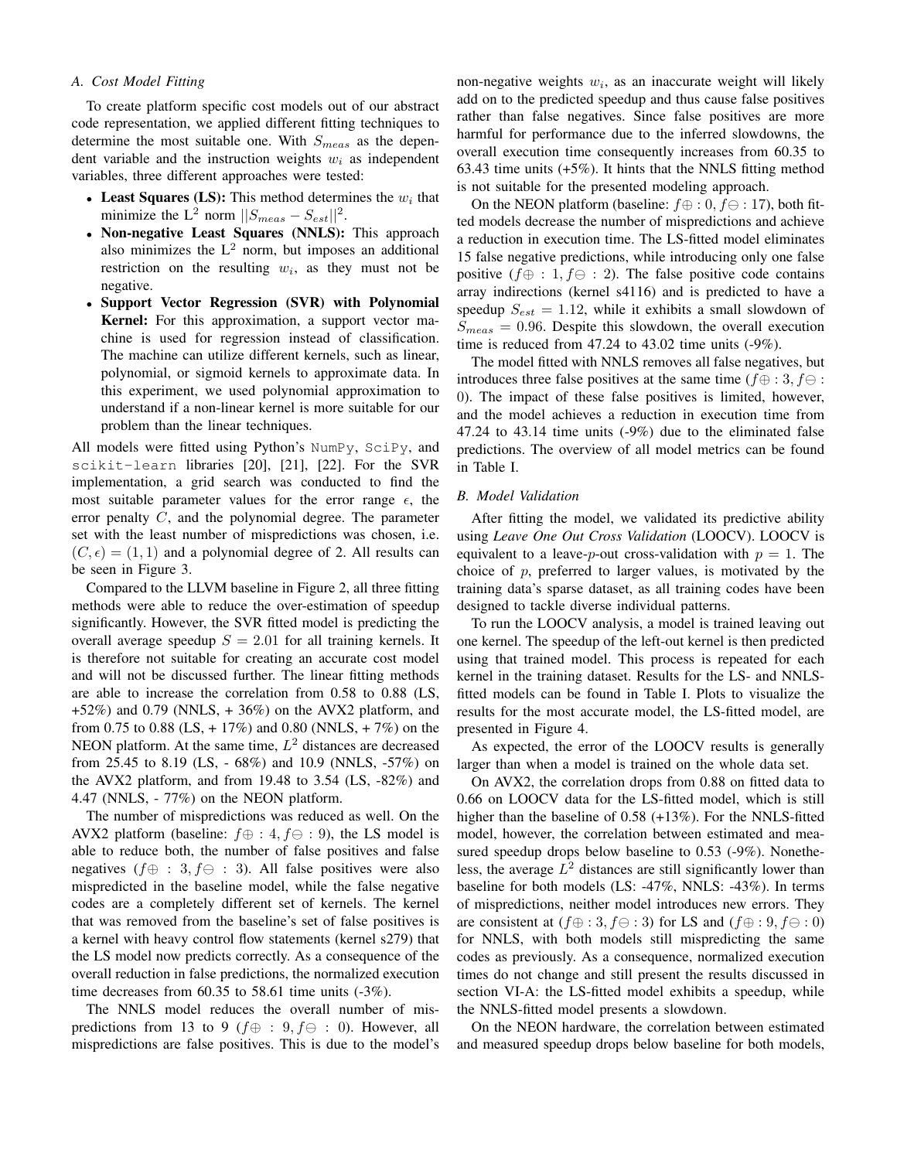## *A. Cost Model Fitting*

To create platform specific cost models out of our abstract code representation, we applied different fitting techniques to determine the most suitable one. With  $S_{meas}$  as the dependent variable and the instruction weights  $w_i$  as independent variables, three different approaches were tested:

- Least Squares (LS): This method determines the  $w_i$  that minimize the L<sup>2</sup> norm  $||S_{meas} - S_{est}||^2$ .
- Non-negative Least Squares (NNLS): This approach also minimizes the  $L^2$  norm, but imposes an additional restriction on the resulting  $w_i$ , as they must not be negative.
- Support Vector Regression (SVR) with Polynomial Kernel: For this approximation, a support vector machine is used for regression instead of classification. The machine can utilize different kernels, such as linear, polynomial, or sigmoid kernels to approximate data. In this experiment, we used polynomial approximation to understand if a non-linear kernel is more suitable for our problem than the linear techniques.

All models were fitted using Python's NumPy, SciPy, and scikit-learn libraries [20], [21], [22]. For the SVR implementation, a grid search was conducted to find the most suitable parameter values for the error range  $\epsilon$ , the error penalty C, and the polynomial degree. The parameter set with the least number of mispredictions was chosen, i.e.  $(C, \epsilon) = (1, 1)$  and a polynomial degree of 2. All results can be seen in Figure 3.

Compared to the LLVM baseline in Figure 2, all three fitting methods were able to reduce the over-estimation of speedup significantly. However, the SVR fitted model is predicting the overall average speedup  $S = 2.01$  for all training kernels. It is therefore not suitable for creating an accurate cost model and will not be discussed further. The linear fitting methods are able to increase the correlation from 0.58 to 0.88 (LS,  $+52\%$ ) and 0.79 (NNLS,  $+36\%$ ) on the AVX2 platform, and from 0.75 to 0.88 (LS,  $+ 17\%$ ) and 0.80 (NNLS,  $+ 7\%$ ) on the NEON platform. At the same time,  $L^2$  distances are decreased from 25.45 to 8.19 (LS, - 68%) and 10.9 (NNLS, -57%) on the AVX2 platform, and from 19.48 to  $3.54$  (LS,  $-82\%$ ) and 4.47 (NNLS, - 77%) on the NEON platform.

The number of mispredictions was reduced as well. On the AVX2 platform (baseline:  $f \oplus : 4, f \ominus : 9$ ), the LS model is able to reduce both, the number of false positives and false negatives ( $f \oplus : 3, f \ominus : 3$ ). All false positives were also mispredicted in the baseline model, while the false negative codes are a completely different set of kernels. The kernel that was removed from the baseline's set of false positives is a kernel with heavy control flow statements (kernel s279) that the LS model now predicts correctly. As a consequence of the overall reduction in false predictions, the normalized execution time decreases from 60.35 to 58.61 time units (-3%).

The NNLS model reduces the overall number of mispredictions from 13 to 9 ( $f \oplus : 9, f \ominus : 0$ ). However, all mispredictions are false positives. This is due to the model's

non-negative weights  $w_i$ , as an inaccurate weight will likely add on to the predicted speedup and thus cause false positives rather than false negatives. Since false positives are more harmful for performance due to the inferred slowdowns, the overall execution time consequently increases from 60.35 to 63.43 time units  $(+5\%)$ . It hints that the NNLS fitting method is not suitable for the presented modeling approach.

On the NEON platform (baseline:  $f \oplus : 0, f \ominus : 17$ ), both fitted models decrease the number of mispredictions and achieve a reduction in execution time. The LS-fitted model eliminates 15 false negative predictions, while introducing only one false positive ( $f \oplus : 1, f \ominus : 2$ ). The false positive code contains array indirections (kernel s4116) and is predicted to have a speedup  $S_{est} = 1.12$ , while it exhibits a small slowdown of  $S_{meas} = 0.96$ . Despite this slowdown, the overall execution time is reduced from 47.24 to 43.02 time units (-9%).

The model fitted with NNLS removes all false negatives, but introduces three false positives at the same time ( $f \oplus : 3, f \ominus :$ 0). The impact of these false positives is limited, however, and the model achieves a reduction in execution time from 47.24 to 43.14 time units (-9%) due to the eliminated false predictions. The overview of all model metrics can be found in Table I.

#### *B. Model Validation*

After fitting the model, we validated its predictive ability using *Leave One Out Cross Validation* (LOOCV). LOOCV is equivalent to a leave-*p*-out cross-validation with  $p = 1$ . The choice of  $p$ , preferred to larger values, is motivated by the training data's sparse dataset, as all training codes have been designed to tackle diverse individual patterns.

To run the LOOCV analysis, a model is trained leaving out one kernel. The speedup of the left-out kernel is then predicted using that trained model. This process is repeated for each kernel in the training dataset. Results for the LS- and NNLSfitted models can be found in Table I. Plots to visualize the results for the most accurate model, the LS-fitted model, are presented in Figure 4.

As expected, the error of the LOOCV results is generally larger than when a model is trained on the whole data set.

On AVX2, the correlation drops from 0.88 on fitted data to 0.66 on LOOCV data for the LS-fitted model, which is still higher than the baseline of 0.58 (+13%). For the NNLS-fitted model, however, the correlation between estimated and measured speedup drops below baseline to 0.53 (-9%). Nonetheless, the average  $L^2$  distances are still significantly lower than baseline for both models (LS: -47%, NNLS: -43%). In terms of mispredictions, neither model introduces new errors. They are consistent at  $(f \oplus : 3, f \ominus : 3)$  for LS and  $(f \oplus : 9, f \ominus : 0)$ for NNLS, with both models still mispredicting the same codes as previously. As a consequence, normalized execution times do not change and still present the results discussed in section VI-A: the LS-fitted model exhibits a speedup, while the NNLS-fitted model presents a slowdown.

On the NEON hardware, the correlation between estimated and measured speedup drops below baseline for both models,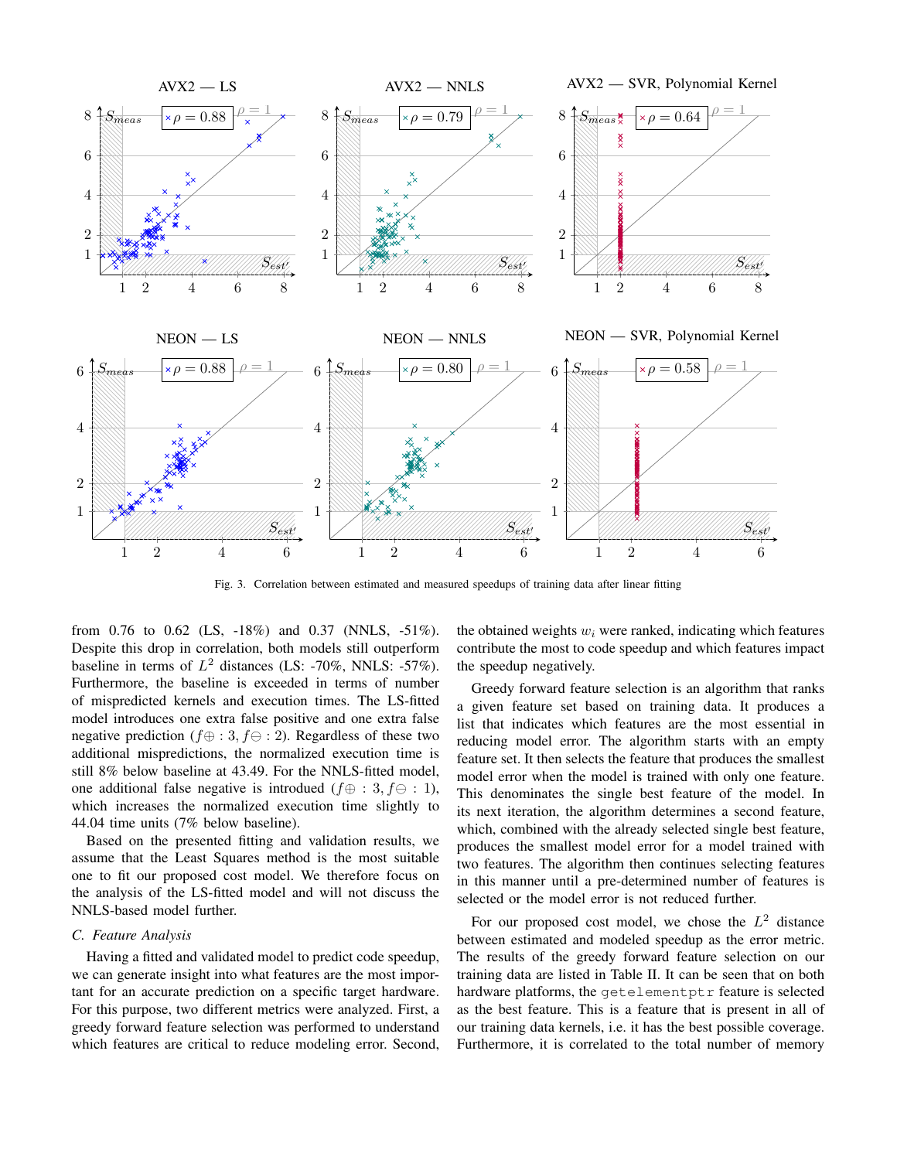

Fig. 3. Correlation between estimated and measured speedups of training data after linear fitting

from 0.76 to 0.62 (LS, -18%) and 0.37 (NNLS, -51%). Despite this drop in correlation, both models still outperform baseline in terms of  $L^2$  distances (LS: -70%, NNLS: -57%). Furthermore, the baseline is exceeded in terms of number of mispredicted kernels and execution times. The LS-fitted model introduces one extra false positive and one extra false negative prediction ( $f \oplus : 3, f \ominus : 2$ ). Regardless of these two additional mispredictions, the normalized execution time is still 8% below baseline at 43.49. For the NNLS-fitted model, one additional false negative is introdued ( $f \oplus : 3, f \ominus : 1$ ), which increases the normalized execution time slightly to 44.04 time units (7% below baseline).

Based on the presented fitting and validation results, we assume that the Least Squares method is the most suitable one to fit our proposed cost model. We therefore focus on the analysis of the LS-fitted model and will not discuss the NNLS-based model further.

## *C. Feature Analysis*

Having a fitted and validated model to predict code speedup, we can generate insight into what features are the most important for an accurate prediction on a specific target hardware. For this purpose, two different metrics were analyzed. First, a greedy forward feature selection was performed to understand which features are critical to reduce modeling error. Second, the obtained weights  $w_i$  were ranked, indicating which features contribute the most to code speedup and which features impact the speedup negatively.

Greedy forward feature selection is an algorithm that ranks a given feature set based on training data. It produces a list that indicates which features are the most essential in reducing model error. The algorithm starts with an empty feature set. It then selects the feature that produces the smallest model error when the model is trained with only one feature. This denominates the single best feature of the model. In its next iteration, the algorithm determines a second feature, which, combined with the already selected single best feature, produces the smallest model error for a model trained with two features. The algorithm then continues selecting features in this manner until a pre-determined number of features is selected or the model error is not reduced further.

For our proposed cost model, we chose the  $L^2$  distance between estimated and modeled speedup as the error metric. The results of the greedy forward feature selection on our training data are listed in Table II. It can be seen that on both hardware platforms, the getelementptr feature is selected as the best feature. This is a feature that is present in all of our training data kernels, i.e. it has the best possible coverage. Furthermore, it is correlated to the total number of memory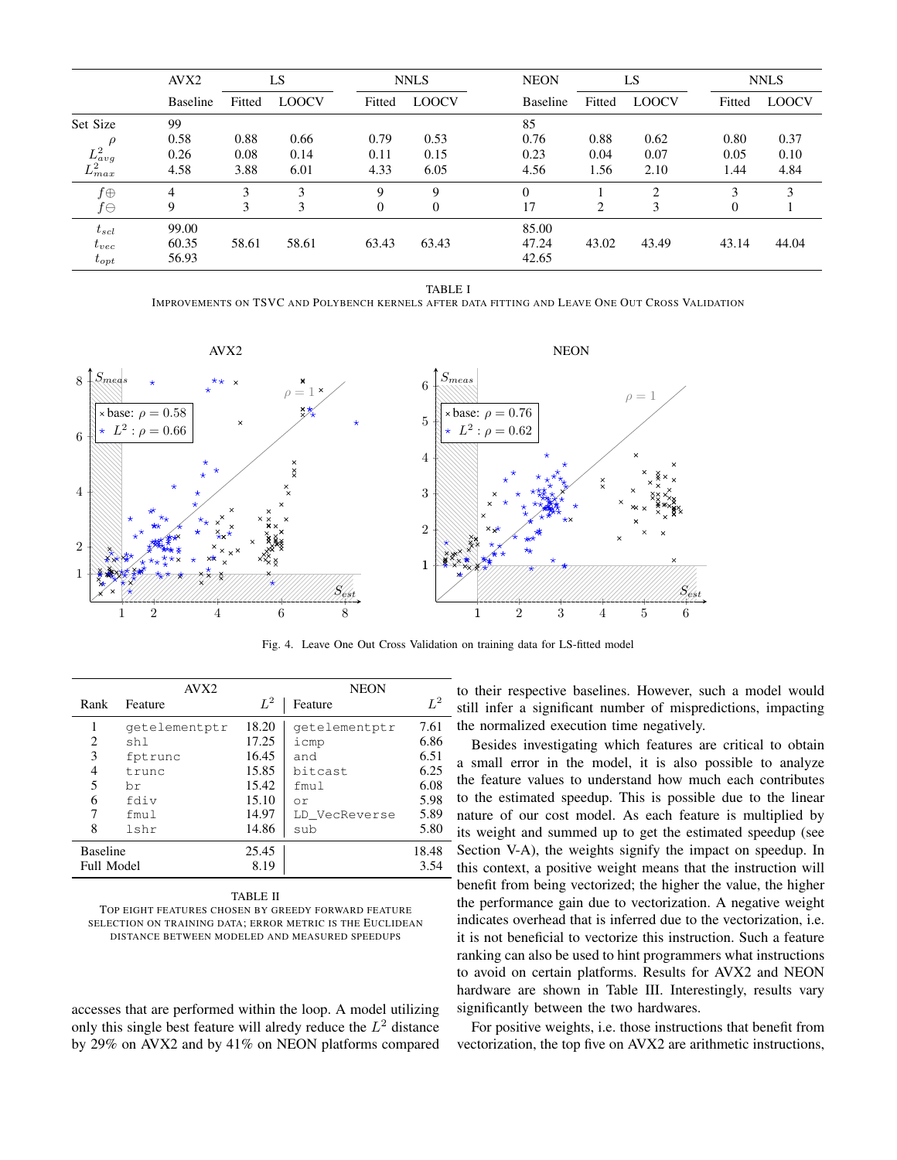|                    | AVX <sub>2</sub> |        | LS           |              | <b>NNLS</b>  |  | <b>NEON</b>     | LS     |                | <b>NNLS</b>   |              |
|--------------------|------------------|--------|--------------|--------------|--------------|--|-----------------|--------|----------------|---------------|--------------|
|                    | <b>Baseline</b>  | Fitted | <b>LOOCV</b> | Fitted       | <b>LOOCV</b> |  | <b>Baseline</b> | Fitted | <b>LOOCV</b>   | Fitted        | <b>LOOCV</b> |
| Set Size           | 99               |        |              |              |              |  | 85              |        |                |               |              |
|                    | 0.58             | 0.88   | 0.66         | 0.79         | 0.53         |  | 0.76            | 0.88   | 0.62           | 0.80          | 0.37         |
| $L^2_{avg}$        | 0.26             | 0.08   | 0.14         | 0.11         | 0.15         |  | 0.23            | 0.04   | 0.07           | 0.05          | 0.10         |
| $L_{max}^2$        | 4.58             | 3.88   | 6.01         | 4.33         | 6.05         |  | 4.56            | 1.56   | 2.10           | 1.44          | 4.84         |
| $f\oplus$          | 4                | 3      | 3            | Q            | 9            |  | $\Omega$        |        | $\mathfrak{D}$ | $\mathcal{E}$ | 3            |
| $f\ominus$         | 9                | 3      | 3            | $\mathbf{0}$ | $\mathbf{0}$ |  | 17              | 2      | 3              | 0             |              |
| $t_{\mathit{scl}}$ | 99.00            |        |              |              |              |  | 85.00           |        |                |               |              |
| $t_{vec}$          | 60.35            | 58.61  | 58.61        | 63.43        | 63.43        |  | 47.24           | 43.02  | 43.49          | 43.14         | 44.04        |
| $t_{opt}$          | 56.93            |        |              |              |              |  | 42.65           |        |                |               |              |

TABLE I

IMPROVEMENTS ON TSVC AND POLYBENCH KERNELS AFTER DATA FITTING AND LEAVE ONE OUT CROSS VALIDATION



Fig. 4. Leave One Out Cross Validation on training data for LS-fitted model

|                 | AVX <sub>2</sub> |       | <b>NEON</b>   |       |
|-----------------|------------------|-------|---------------|-------|
| Rank            | Feature          | $L^2$ | Feature       | $L^2$ |
| 1               | getelementptr    | 18.20 | qetelementptr | 7.61  |
| 2               | shl              | 17.25 | icmp          | 6.86  |
| 3               | fptrunc          | 16.45 | and           | 6.51  |
| 4               | trunc            | 15.85 | bitcast       | 6.25  |
| 5               | br               | 15.42 | fmul          | 6.08  |
| 6               | fdiv             | 15.10 | or            | 5.98  |
| 7               | fmul             | 14.97 | LD VecReverse | 5.89  |
| 8               | lshr             | 14.86 | sub           | 5.80  |
| <b>Baseline</b> |                  | 25.45 |               | 18.48 |
| Full Model      |                  | 8.19  |               | 3.54  |

TABLE II

TOP EIGHT FEATURES CHOSEN BY GREEDY FORWARD FEATURE SELECTION ON TRAINING DATA; ERROR METRIC IS THE EUCLIDEAN DISTANCE BETWEEN MODELED AND MEASURED SPEEDUPS

accesses that are performed within the loop. A model utilizing only this single best feature will alredy reduce the  $L^2$  distance by 29% on AVX2 and by 41% on NEON platforms compared to their respective baselines. However, such a model would still infer a significant number of mispredictions, impacting the normalized execution time negatively.

Besides investigating which features are critical to obtain a small error in the model, it is also possible to analyze the feature values to understand how much each contributes to the estimated speedup. This is possible due to the linear nature of our cost model. As each feature is multiplied by its weight and summed up to get the estimated speedup (see Section V-A), the weights signify the impact on speedup. In this context, a positive weight means that the instruction will benefit from being vectorized; the higher the value, the higher the performance gain due to vectorization. A negative weight indicates overhead that is inferred due to the vectorization, i.e. it is not beneficial to vectorize this instruction. Such a feature ranking can also be used to hint programmers what instructions to avoid on certain platforms. Results for AVX2 and NEON hardware are shown in Table III. Interestingly, results vary significantly between the two hardwares.

For positive weights, i.e. those instructions that benefit from vectorization, the top five on AVX2 are arithmetic instructions,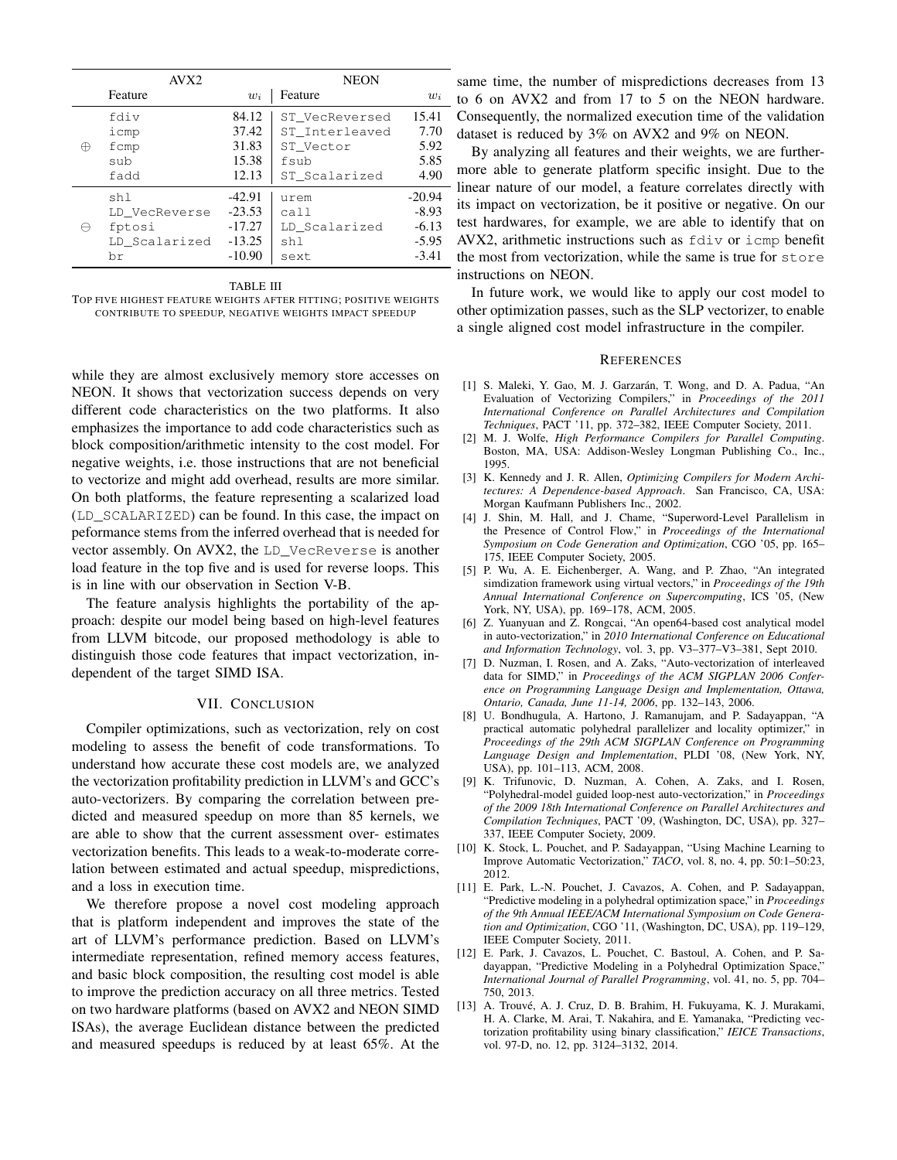|   | AVX <sub>2</sub> |          | <b>NEON</b>    |          |  |  |
|---|------------------|----------|----------------|----------|--|--|
|   | Feature          | $w_i$    | Feature        | $w_i$    |  |  |
| ⊕ | fdiv             | 84.12    | ST VecReversed | 15.41    |  |  |
|   | icmp             | 37.42    | ST Interleaved | 7.70     |  |  |
|   | fcmp             | 31.83    | ST Vector      | 5.92     |  |  |
|   | sub              | 15.38    | fsub           | 5.85     |  |  |
|   | fadd             | 12.13    | ST Scalarized  | 4.90     |  |  |
|   | shl              | $-42.91$ | urem           | $-20.94$ |  |  |
|   | LD_VecReverse    | $-23.53$ | call           | $-8.93$  |  |  |
|   | fptosi           | $-17.27$ | LD Scalarized  | $-6.13$  |  |  |
|   | LD Scalarized    | $-13.25$ | sh 1           | $-5.95$  |  |  |
|   | br               | $-10.90$ | sext           | $-3.41$  |  |  |

TABLE III

TOP FIVE HIGHEST FEATURE WEIGHTS AFTER FITTING; POSITIVE WEIGHTS CONTRIBUTE TO SPEEDUP, NEGATIVE WEIGHTS IMPACT SPEEDUP

while they are almost exclusively memory store accesses on NEON. It shows that vectorization success depends on very different code characteristics on the two platforms. It also emphasizes the importance to add code characteristics such as block composition/arithmetic intensity to the cost model. For negative weights, i.e. those instructions that are not beneficial to vectorize and might add overhead, results are more similar. On both platforms, the feature representing a scalarized load (LD\_SCALARIZED) can be found. In this case, the impact on peformance stems from the inferred overhead that is needed for vector assembly. On AVX2, the LD\_VecReverse is another load feature in the top five and is used for reverse loops. This is in line with our observation in Section V-B.

The feature analysis highlights the portability of the approach: despite our model being based on high-level features from LLVM bitcode, our proposed methodology is able to distinguish those code features that impact vectorization, independent of the target SIMD ISA.

#### VII. CONCLUSION

Compiler optimizations, such as vectorization, rely on cost modeling to assess the benefit of code transformations. To understand how accurate these cost models are, we analyzed the vectorization profitability prediction in LLVM's and GCC's auto-vectorizers. By comparing the correlation between predicted and measured speedup on more than 85 kernels, we are able to show that the current assessment over- estimates vectorization benefits. This leads to a weak-to-moderate correlation between estimated and actual speedup, mispredictions, and a loss in execution time.

We therefore propose a novel cost modeling approach that is platform independent and improves the state of the art of LLVM's performance prediction. Based on LLVM's intermediate representation, refined memory access features, and basic block composition, the resulting cost model is able to improve the prediction accuracy on all three metrics. Tested on two hardware platforms (based on AVX2 and NEON SIMD ISAs), the average Euclidean distance between the predicted and measured speedups is reduced by at least 65%. At the

same time, the number of mispredictions decreases from 13 to 6 on AVX2 and from 17 to 5 on the NEON hardware. Consequently, the normalized execution time of the validation dataset is reduced by 3% on AVX2 and 9% on NEON.

By analyzing all features and their weights, we are furthermore able to generate platform specific insight. Due to the - linear nature of our model, a feature correlates directly with its impact on vectorization, be it positive or negative. On our test hardwares, for example, we are able to identify that on AVX2, arithmetic instructions such as fdiv or icmp benefit the most from vectorization, while the same is true for store instructions on NEON.

In future work, we would like to apply our cost model to other optimization passes, such as the SLP vectorizer, to enable a single aligned cost model infrastructure in the compiler.

#### **REFERENCES**

- [1] S. Maleki, Y. Gao, M. J. Garzarán, T. Wong, and D. A. Padua, "An Evaluation of Vectorizing Compilers," in *Proceedings of the 2011 International Conference on Parallel Architectures and Compilation Techniques*, PACT '11, pp. 372–382, IEEE Computer Society, 2011.
- [2] M. J. Wolfe, *High Performance Compilers for Parallel Computing*. Boston, MA, USA: Addison-Wesley Longman Publishing Co., Inc., 1995.
- [3] K. Kennedy and J. R. Allen, *Optimizing Compilers for Modern Architectures: A Dependence-based Approach*. San Francisco, CA, USA: Morgan Kaufmann Publishers Inc., 2002.
- [4] J. Shin, M. Hall, and J. Chame, "Superword-Level Parallelism in the Presence of Control Flow," in *Proceedings of the International Symposium on Code Generation and Optimization*, CGO '05, pp. 165– 175, IEEE Computer Society, 2005.
- [5] P. Wu, A. E. Eichenberger, A. Wang, and P. Zhao, "An integrated simdization framework using virtual vectors," in *Proceedings of the 19th Annual International Conference on Supercomputing*, ICS '05, (New York, NY, USA), pp. 169–178, ACM, 2005.
- [6] Z. Yuanyuan and Z. Rongcai, "An open64-based cost analytical model in auto-vectorization," in *2010 International Conference on Educational and Information Technology*, vol. 3, pp. V3–377–V3–381, Sept 2010.
- [7] D. Nuzman, I. Rosen, and A. Zaks, "Auto-vectorization of interleaved data for SIMD," in *Proceedings of the ACM SIGPLAN 2006 Conference on Programming Language Design and Implementation, Ottawa, Ontario, Canada, June 11-14, 2006*, pp. 132–143, 2006.
- [8] U. Bondhugula, A. Hartono, J. Ramanujam, and P. Sadayappan, "A practical automatic polyhedral parallelizer and locality optimizer," in *Proceedings of the 29th ACM SIGPLAN Conference on Programming Language Design and Implementation*, PLDI '08, (New York, NY, USA), pp. 101–113, ACM, 2008.
- [9] K. Trifunovic, D. Nuzman, A. Cohen, A. Zaks, and I. Rosen, "Polyhedral-model guided loop-nest auto-vectorization," in *Proceedings of the 2009 18th International Conference on Parallel Architectures and Compilation Techniques*, PACT '09, (Washington, DC, USA), pp. 327– 337, IEEE Computer Society, 2009.
- [10] K. Stock, L. Pouchet, and P. Sadayappan, "Using Machine Learning to Improve Automatic Vectorization," *TACO*, vol. 8, no. 4, pp. 50:1–50:23, 2012.
- [11] E. Park, L.-N. Pouchet, J. Cavazos, A. Cohen, and P. Sadayappan, "Predictive modeling in a polyhedral optimization space," in *Proceedings of the 9th Annual IEEE/ACM International Symposium on Code Generation and Optimization*, CGO '11, (Washington, DC, USA), pp. 119–129, IEEE Computer Society, 2011.
- [12] E. Park, J. Cavazos, L. Pouchet, C. Bastoul, A. Cohen, and P. Sadayappan, "Predictive Modeling in a Polyhedral Optimization Space," *International Journal of Parallel Programming*, vol. 41, no. 5, pp. 704– 750, 2013.
- [13] A. Trouvé, A. J. Cruz, D. B. Brahim, H. Fukuyama, K. J. Murakami, H. A. Clarke, M. Arai, T. Nakahira, and E. Yamanaka, "Predicting vectorization profitability using binary classification," *IEICE Transactions*, vol. 97-D, no. 12, pp. 3124–3132, 2014.